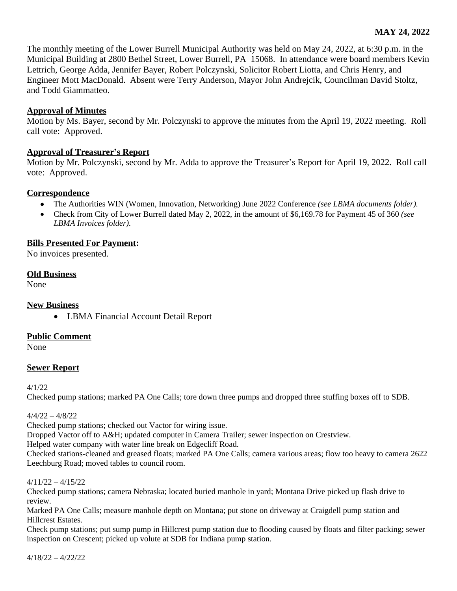The monthly meeting of the Lower Burrell Municipal Authority was held on May 24, 2022, at 6:30 p.m. in the Municipal Building at 2800 Bethel Street, Lower Burrell, PA 15068. In attendance were board members Kevin Lettrich, George Adda, Jennifer Bayer, Robert Polczynski, Solicitor Robert Liotta, and Chris Henry, and Engineer Mott MacDonald. Absent were Terry Anderson, Mayor John Andrejcik, Councilman David Stoltz, and Todd Giammatteo.

# **Approval of Minutes**

Motion by Ms. Bayer, second by Mr. Polczynski to approve the minutes from the April 19, 2022 meeting. Roll call vote: Approved.

## **Approval of Treasurer's Report**

Motion by Mr. Polczynski, second by Mr. Adda to approve the Treasurer's Report for April 19, 2022. Roll call vote: Approved.

## **Correspondence**

- The Authorities WIN (Women, Innovation, Networking) June 2022 Conference *(see LBMA documents folder).*
- Check from City of Lower Burrell dated May 2, 2022, in the amount of \$6,169.78 for Payment 45 of 360 *(see LBMA Invoices folder).*

## **Bills Presented For Payment:**

No invoices presented.

### **Old Business**

None

# **New Business**

LBMA Financial Account Detail Report

# **Public Comment**

None

# **Sewer Report**

4/1/22

Checked pump stations; marked PA One Calls; tore down three pumps and dropped three stuffing boxes off to SDB.

### $4/4/22 - 4/8/22$

Checked pump stations; checked out Vactor for wiring issue.

Dropped Vactor off to A&H; updated computer in Camera Trailer; sewer inspection on Crestview.

Helped water company with water line break on Edgecliff Road.

Checked stations-cleaned and greased floats; marked PA One Calls; camera various areas; flow too heavy to camera 2622 Leechburg Road; moved tables to council room.

### $4/11/22 - 4/15/22$

Checked pump stations; camera Nebraska; located buried manhole in yard; Montana Drive picked up flash drive to review.

Marked PA One Calls; measure manhole depth on Montana; put stone on driveway at Craigdell pump station and Hillcrest Estates.

Check pump stations; put sump pump in Hillcrest pump station due to flooding caused by floats and filter packing; sewer inspection on Crescent; picked up volute at SDB for Indiana pump station.